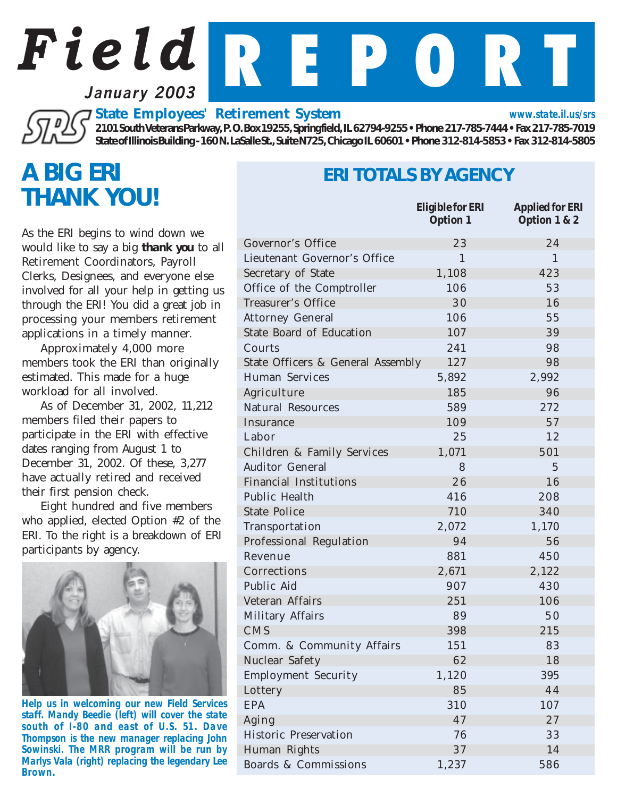**January 2003**

*State Employees' Retirement System*

*2101 South Veterans Parkway, P. O. Box 19255, Springfield, IL 62794-9255 • Phone 217-785-7444 • Fax 217-785-7019 State of Illinois Building - 160 N. LaSalle St., Suite N725, Chicago IL 60601 • Phone 312-814-5853 • Fax 312-814-5805*

*Field* R E P O R T

### *A BIG ERI THANK YOU!*

As the ERI begins to wind down we would like to say a big *thank you* to all Retirement Coordinators, Payroll Clerks, Designees, and everyone else involved for all your help in getting us through the ERI! You did a great job in processing your members retirement applications in a timely manner.

Approximately 4,000 more members took the ERI than originally estimated. This made for a huge workload for all involved.

As of December 31, 2002, 11,212 members filed their papers to participate in the ERI with effective dates ranging from August 1 to December 31, 2002. Of these, 3,277 have actually retired and received their first pension check.

Eight hundred and five members who applied, elected Option #2 of the ERI. To the right is a breakdown of ERI participants by agency.



*Help us in welcoming our new Field Services staff. Mandy Beedie (left) will cover the state south of I-80 and east of U.S. 51. Dave Thompson is the new manager replacing John Sowinski. The MRR program will be run by Marlys Vala (right) replacing the legendary Lee Brown.*

#### *ERI TOTALS BY AGENCY*

*www.state.il.us/srs*

|                                   | Eligible for ERI<br><b>Option 1</b> | <i><b>Applied for ERI</b></i><br><b>Option 1 &amp; 2</b> |
|-----------------------------------|-------------------------------------|----------------------------------------------------------|
| Governor's Office                 | 23                                  | 24                                                       |
| Lieutenant Governor's Office      | $\mathbf{1}$                        | $\mathbf{1}$                                             |
| Secretary of State                | 1,108                               | 423                                                      |
| Office of the Comptroller         | 106                                 | 53                                                       |
| Treasurer's Office                | 30                                  | 16                                                       |
| <b>Attorney General</b>           | 106                                 | 55                                                       |
| State Board of Education          | 107                                 | 39                                                       |
| Courts                            | 241                                 | 98                                                       |
| State Officers & General Assembly | 127                                 | 98                                                       |
| Human Services                    | 5,892                               | 2,992                                                    |
| Agriculture                       | 185                                 | 96                                                       |
| Natural Resources                 | 589                                 | 272                                                      |
| Insurance                         | 109                                 | 57                                                       |
| Labor                             | 25                                  | 12                                                       |
| Children & Family Services        | 1,071                               | 501                                                      |
| <b>Auditor General</b>            | 8                                   | $\overline{5}$                                           |
| <b>Financial Institutions</b>     | 26                                  | 16                                                       |
| Public Health                     | 416                                 | 208                                                      |
| <b>State Police</b>               | 710                                 | 340                                                      |
| Transportation                    | 2,072                               | 1,170                                                    |
| Professional Regulation           | 94                                  | 56                                                       |
| Revenue                           | 881                                 | 450                                                      |
| Corrections                       | 2,671                               | 2,122                                                    |
| Public Aid                        | 907                                 | 430                                                      |
| Veteran Affairs                   | 251                                 | 106                                                      |
| Military Affairs                  | 89                                  | 50                                                       |
| CMS                               | 398                                 | 215                                                      |
| Comm. & Community Affairs         | 151                                 | 83                                                       |
| Nuclear Safety                    | 62                                  | 18                                                       |
| <b>Employment Security</b>        | 1,120                               | 395                                                      |
| Lottery                           | 85                                  | 44                                                       |
| EPA                               | 310                                 | 107                                                      |
| Aging                             | 47                                  | 27                                                       |
| Historic Preservation             | 76                                  | 33                                                       |
| Human Rights                      | 37                                  | 14                                                       |
| Boards & Commissions              | 1,237                               | 586                                                      |